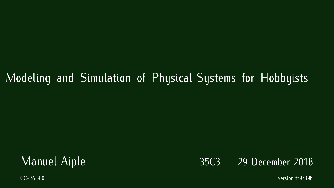### Modeling and Simulation of Physical Systems for Hobbyists

# $\frac{35}{2}$ C<sub>3</sub> December 2018

CC-BY 4.0 version f59c89by 4.0 version f59c89by 4.0 version f59c89by 4.0 version f59c89by 4.0 version f59c89by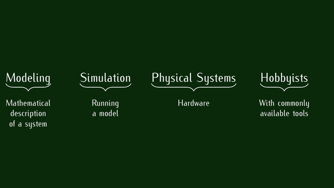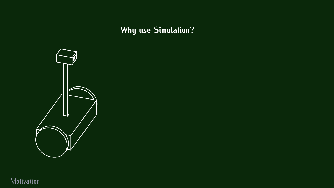**Why use Simulation?**



Motivation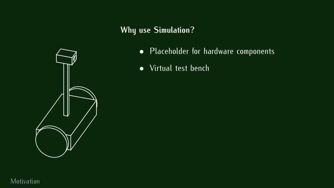#### **Why use Simulation?**



- Placeholder for hardware components
- Virtual test bench

Motivation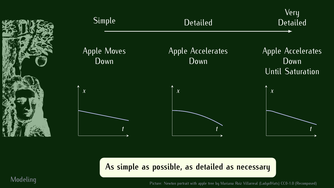

**As simple as possible, as detailed as necessary**

Modeling Picture: Newton portrait with apple tree by Mariana Ruiz Villarreal (LadyofHats) CC0-1.0 (Recomposed)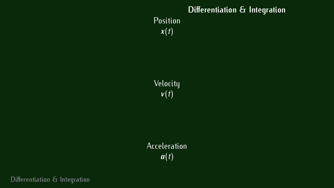## **Differentiation & Integration**  $\boldsymbol{x}(t)$

 $v(t)$ 

 $a(t)$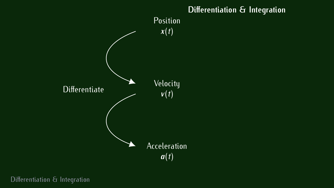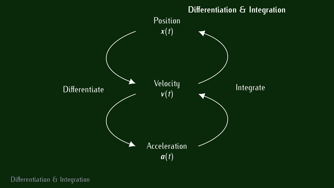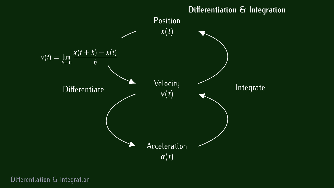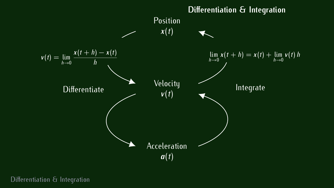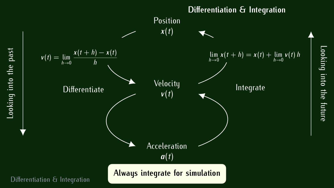

Looking

 intothe

future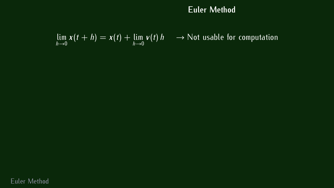$$
\lim_{h\to 0} x(t+h) = x(t) + \lim_{h\to 0} v(t) h \longrightarrow
$$
 Not usable for computation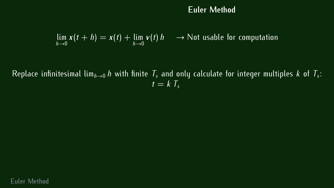$$
\lim_{h\to 0} x(t+h) = x(t) + \lim_{h\to 0} v(t) h \longrightarrow
$$
 Not usable for computation

Replace infinitesimal lim<sub>h→0</sub> *h* with finite  $\mathit{T}_s$  and only calculate for integer multiples  $k$  of  $\mathcal{T}_s$ :<br> $t - k \mathcal{T}$  $t = k \overline{T_{s}}$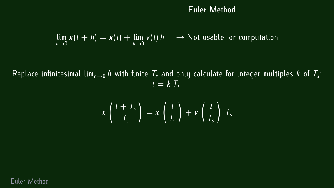$$
\lim_{h\to 0} x(t+h) = x(t) + \lim_{h\to 0} v(t) h \longrightarrow
$$
 Not usable for computation

Replace infinitesimal lim<sub>h→0</sub> *h* with finite  $\mathit{T}_s$  and only calculate for integer multiples  $k$  of  $\mathcal{T}_s$ :<br> $t - k \mathcal{T}$  $t = kT_s$ 

$$
x\left(\frac{t+T_s}{T_s}\right)=x\left(\frac{t}{T_s}\right)+v\left(\frac{t}{T_s}\right)T_s
$$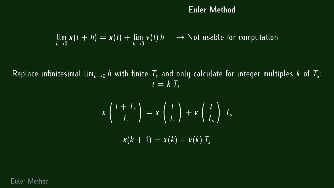$$
\lim_{h\to 0} x(t+h) = x(t) + \lim_{h\to 0} v(t) h \longrightarrow
$$
 Not usable for computation

Replace infinitesimal lim<sub>h→0</sub> *h* with finite  $\mathit{T}_s$  and only calculate for integer multiples  $k$  of  $\mathcal{T}_s$ :<br> $t - k \mathcal{T}$  $t = k \overline{T_{s}}$ 

$$
x\left(\frac{t+T_s}{T_s}\right) = x\left(\frac{t}{T_s}\right) + v\left(\frac{t}{T_s}\right) T_s
$$

$$
x(k+1) = x(k) + v(k) T_s
$$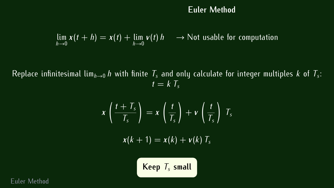$$
\lim_{h\to 0} x(t+h) = x(t) + \lim_{h\to 0} v(t) h \longrightarrow
$$
 Not usable for computation

Replace infinitesimal lim<sub>h→0</sub> *h* with finite  $\mathit{T}_s$  and only calculate for integer multiples  $k$  of  $\mathcal{T}_s$ :<br> $t - k \mathcal{T}$  $t = kT_s$ 

$$
x\left(\frac{t+T_s}{T_s}\right) = x\left(\frac{t}{T_s}\right) + v\left(\frac{t}{T_s}\right)T_s
$$

$$
x(k+1) = x(k) + v(k)T_s
$$
  
Keep  $T_s$  small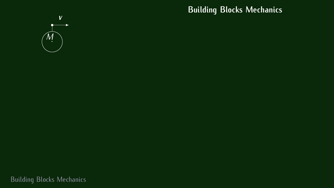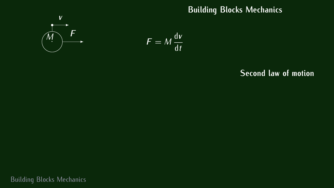

$$
x\in\mathbb{R}^n
$$

$$
F = M \frac{\mathrm{d}v}{\mathrm{d}t}
$$

#### **Second law of motion**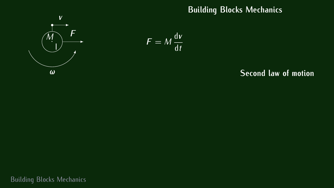



#### **Second law of motion**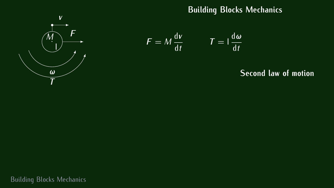

$$
F = M \frac{dv}{dt} \qquad T = \frac{d\omega}{dt}
$$

#### **Second law of motion**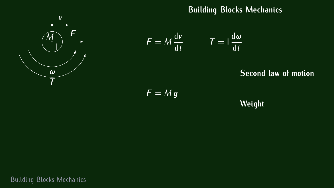

$$
F = M \frac{dv}{dt} \qquad T = \frac{d\omega}{dt}
$$

**Second law of motion**

 $F = M g$ 

**Weight**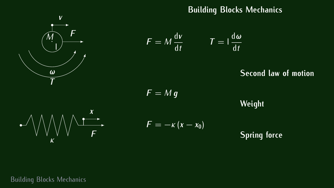

$$
F = M \frac{dv}{dt} \qquad T = \frac{d\omega}{dt}
$$

#### **Second law of motion**

 $F = M q$ 

**Weight**



 $F = -\kappa (x - x_0)$ 

### **Spring force**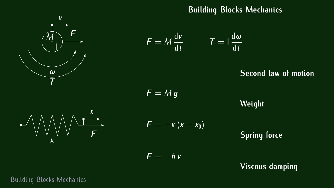

$$
F = M \frac{dv}{dt} \qquad T = \frac{d\omega}{dt}
$$

#### **Second law of motion**

 $F = Mq$ 

**Weight**

**Spring force**

 $F = -bv$ 

 $F = -\kappa (x - x_0)$ 

**Viscous damping**

Building Blocks Mechanics

*κ*

 $\overrightarrow{a}$ 

*F*

*x*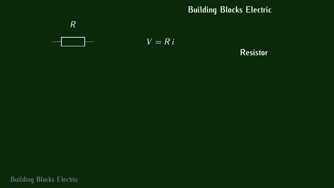

**Resistor**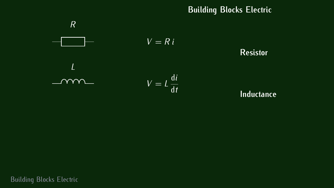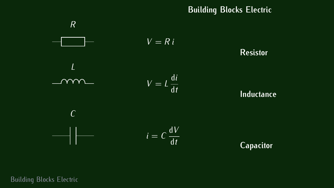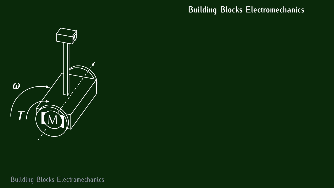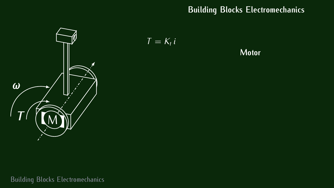

 $T = K_t i$ 

**Motor**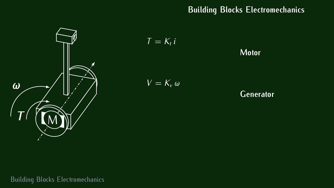

$$
T = K_t i
$$
 Motor  

$$
V = K_v \omega
$$
Generator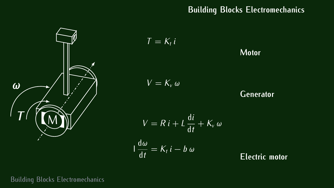

$$
T = K_{t} i
$$
Motor  
\n
$$
V = K_{v} \omega
$$
Generator  
\n
$$
V = Ri + L \frac{di}{dt} + K_{v} \omega
$$
  
\n
$$
\frac{d\omega}{dt} = K_{t} i - b \omega
$$
Electric motor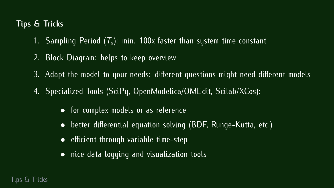#### **Tips & Tricks**

- 1. Sampling Period (*T<sup>s</sup>* ): min. 100x faster than system time constant
- 2. Block Diagram: helps to keep overview
- 3. Adapt the model to your needs: different questions might need different models
- $4.$  Specialized Tools (SciPy, OpenModelica), Scilarity Scilary:  $(3.7)$ :
	-
	- for complex models or as reference • better differential equation solving (BDF, Runge-Kutta, etc.)
	- efficient through variable time-step
	- nice data logging and visualization tools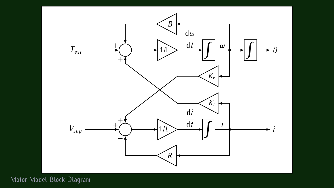

Motor Model Block Diagram